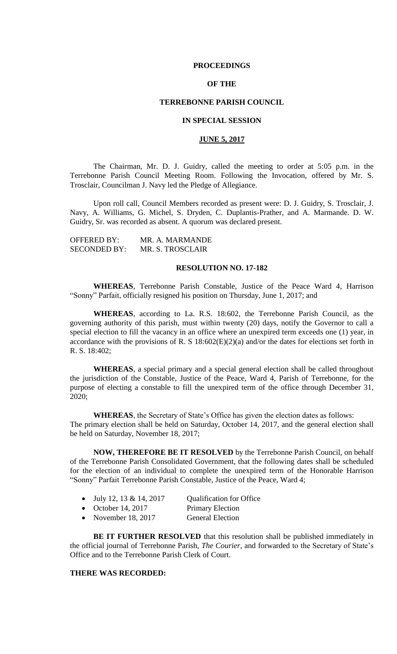### **PROCEEDINGS**

## **OF THE**

### **TERREBONNE PARISH COUNCIL**

## **IN SPECIAL SESSION**

## **JUNE 5, 2017**

The Chairman, Mr. D. J. Guidry, called the meeting to order at 5:05 p.m. in the Terrebonne Parish Council Meeting Room. Following the Invocation, offered by Mr. S. Trosclair, Councilman J. Navy led the Pledge of Allegiance.

Upon roll call, Council Members recorded as present were: D. J. Guidry, S. Trosclair, J. Navy, A. Williams, G. Michel, S. Dryden, C. Duplantis-Prather, and A. Marmande. D. W. Guidry, Sr. was recorded as absent. A quorum was declared present.

| <b>OFFERED BY:</b>  | MR. A. MARMANDE  |
|---------------------|------------------|
| <b>SECONDED BY:</b> | MR. S. TROSCLAIR |

#### **RESOLUTION NO. 17-182**

**WHEREAS**, Terrebonne Parish Constable, Justice of the Peace Ward 4, Harrison "Sonny" Parfait, officially resigned his position on Thursday, June 1, 2017; and

**WHEREAS**, according to La. R.S. 18:602, the Terrebonne Parish Council, as the governing authority of this parish, must within twenty (20) days, notify the Governor to call a special election to fill the vacancy in an office where an unexpired term exceeds one (1) year, in accordance with the provisions of R. S 18:602(E)(2)(a) and/or the dates for elections set forth in R. S. 18:402;

**WHEREAS**, a special primary and a special general election shall be called throughout the jurisdiction of the Constable, Justice of the Peace, Ward 4, Parish of Terrebonne, for the purpose of electing a constable to fill the unexpired term of the office through December 31, 2020;

**WHEREAS**, the Secretary of State's Office has given the election dates as follows: The primary election shall be held on Saturday, October 14, 2017, and the general election shall be held on Saturday, November 18, 2017;

**NOW, THEREFORE BE IT RESOLVED** by the Terrebonne Parish Council, on behalf of the Terrebonne Parish Consolidated Government, that the following dates shall be scheduled for the election of an individual to complete the unexpired term of the Honorable Harrison "Sonny" Parfait Terrebonne Parish Constable, Justice of the Peace, Ward 4;

| July 12, 13 & 14, 2017 | <b>Qualification for Office</b> |
|------------------------|---------------------------------|
|------------------------|---------------------------------|

- October 14, 2017 Primary Election
- November 18, 2017 General Election

**BE IT FURTHER RESOLVED** that this resolution shall be published immediately in the official journal of Terrebonne Parish, *The Courier*, and forwarded to the Secretary of State's Office and to the Terrebonne Parish Clerk of Court.

#### **THERE WAS RECORDED:**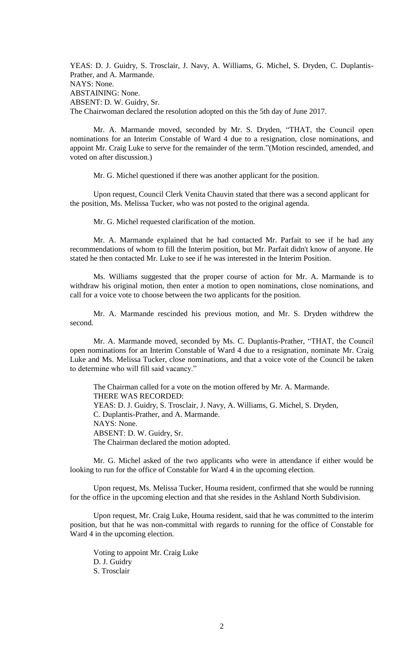YEAS: D. J. Guidry, S. Trosclair, J. Navy, A. Williams, G. Michel, S. Dryden, C. Duplantis-Prather, and A. Marmande. NAYS: None. ABSTAINING: None. ABSENT: D. W. Guidry, Sr. The Chairwoman declared the resolution adopted on this the 5th day of June 2017.

Mr. A. Marmande moved, seconded by Mr. S. Dryden, "THAT, the Council open nominations for an Interim Constable of Ward 4 due to a resignation, close nominations, and appoint Mr. Craig Luke to serve for the remainder of the term."(Motion rescinded, amended, and voted on after discussion.)

Mr. G. Michel questioned if there was another applicant for the position.

Upon request, Council Clerk Venita Chauvin stated that there was a second applicant for the position, Ms. Melissa Tucker, who was not posted to the original agenda.

Mr. G. Michel requested clarification of the motion.

Mr. A. Marmande explained that he had contacted Mr. Parfait to see if he had any recommendations of whom to fill the Interim position, but Mr. Parfait didn't know of anyone. He stated he then contacted Mr. Luke to see if he was interested in the Interim Position.

Ms. Williams suggested that the proper course of action for Mr. A. Marmande is to withdraw his original motion, then enter a motion to open nominations, close nominations, and call for a voice vote to choose between the two applicants for the position.

Mr. A. Marmande rescinded his previous motion, and Mr. S. Dryden withdrew the second.

Mr. A. Marmande moved, seconded by Ms. C. Duplantis-Prather, "THAT, the Council open nominations for an Interim Constable of Ward 4 due to a resignation, nominate Mr. Craig Luke and Ms. Melissa Tucker, close nominations, and that a voice vote of the Council be taken to determine who will fill said vacancy."

The Chairman called for a vote on the motion offered by Mr. A. Marmande. THERE WAS RECORDED: YEAS: D. J. Guidry, S. Trosclair, J. Navy, A. Williams, G. Michel, S. Dryden, C. Duplantis-Prather, and A. Marmande. NAYS: None. ABSENT: D. W. Guidry, Sr. The Chairman declared the motion adopted.

Mr. G. Michel asked of the two applicants who were in attendance if either would be looking to run for the office of Constable for Ward 4 in the upcoming election.

Upon request, Ms. Melissa Tucker, Houma resident, confirmed that she would be running for the office in the upcoming election and that she resides in the Ashland North Subdivision.

Upon request, Mr. Craig Luke, Houma resident, said that he was committed to the interim position, but that he was non-committal with regards to running for the office of Constable for Ward 4 in the upcoming election.

Voting to appoint Mr. Craig Luke D. J. Guidry S. Trosclair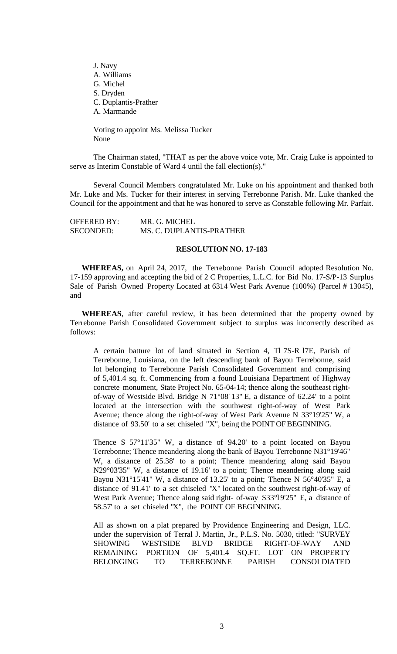J. Navy A. Williams G. Michel S. Dryden C. Duplantis-Prather A. Marmande

Voting to appoint Ms. Melissa Tucker None

The Chairman stated, "THAT as per the above voice vote, Mr. Craig Luke is appointed to serve as Interim Constable of Ward 4 until the fall election(s)."

Several Council Members congratulated Mr. Luke on his appointment and thanked both Mr. Luke and Ms. Tucker for their interest in serving Terrebonne Parish. Mr. Luke thanked the Council for the appointment and that he was honored to serve as Constable following Mr. Parfait.

| <b>OFFERED BY:</b> | MR. G. MICHEL            |
|--------------------|--------------------------|
| <b>SECONDED:</b>   | MS. C. DUPLANTIS-PRATHER |

### **RESOLUTION NO. 17-183**

**WHEREAS,** on April 24, 2017, the Terrebonne Parish Council adopted Resolution No. 17-159 approving and accepting the bid of 2 C Properties, L.L.C. for Bid No. 17-S/P-13 Surplus Sale of Parish Owned Property Located at 6314 West Park Avenue (100%) (Parcel # 13045), and

**WHEREAS**, after careful review, it has been determined that the property owned by Terrebonne Parish Consolidated Government subject to surplus was incorrectly described as follows:

A certain batture lot of land situated in Section 4, Tl 7S-R l7E, Parish of Terrebonne, Louisiana, on the left descending bank of Bayou Terrebonne, said lot belonging to Terrebonne Parish Consolidated Government and comprising of 5,401.4 sq. ft. Commencing from a found Louisiana Department of Highway concrete monument, State Project No. 65-04-14; thence along the southeast rightof-way of Westside Blvd. Bridge N 71°08' 13" E, a distance of 62.24' to a point located at the intersection with the southwest right-of-way of West Park Avenue; thence along the right-of-way of West Park Avenue N 33°19'25" W, a distance of 93.50' to a set chiseled "X", being the POINT OF BEGINNING.

Thence S 57°11'35" W, a distance of 94.20' to a point located on Bayou Terrebonne; Thence meandering along the bank of Bayou Terrebonne N31°19'46" W, a distance of 25.38' to a point; Thence meandering along said Bayou N29°03'35" W, a distance of 19.16' to a point; Thence meandering along said Bayou N31°15'41" W, a distance of 13.25' to a point; Thence N 56°40'35" E, a distance of 91.41' to a set chiseled "X" located on the southwest right-of-way of West Park Avenue; Thence along said right- of-way S33°l9'25" E, a distance of 58.57' to a set chiseled "X", the POINT OF BEGINNING.

All as shown on a plat prepared by Providence Engineering and Design, LLC. under the supervision of Terral J. Martin, Jr., P.L.S. No. 5030, titled: "SURVEY SHOWING WESTSIDE BLVD BRIDGE RIGHT-OF-WAY AND REMAINING PORTION OF 5,401.4 SQ.FT. LOT ON PROPERTY BELONGING TO TERREBONNE PARISH CONSOLDIATED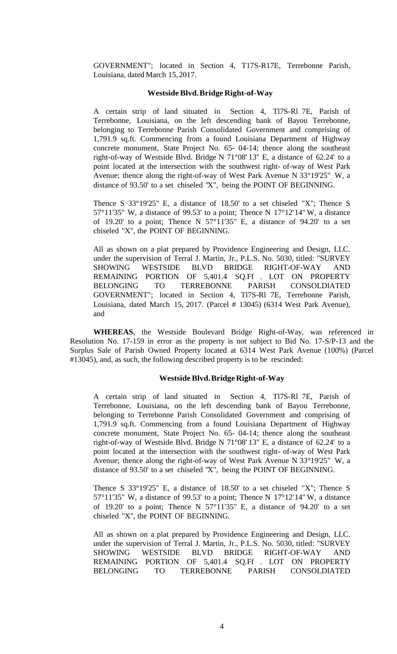GOVERNMENT"; located in Section 4, T17S-R17E, Terrebonne Parish, Louisiana, dated March 15, 2017.

## **Westside Blvd.Bridge Right-of-Way**

A certain strip of land situated in Section 4, Tl7S-Rl 7E, Parish of Terrebonne, Louisiana, on the left descending bank of Bayou Terrebonne, belonging to Terrebonne Parish Consolidated Government and comprising of 1,791.9 sq.ft. Commencing from a found Louisiana Department of Highway concrete monument, State Project No. 65- 04-14; thence along the southeast right-of-way of Westside Blvd. Bridge N 71°08' 13" E, a distance of 62.24' to a point located at the intersection with the southwest right- of-way of West Park Avenue; thence along the right-of-way of West Park Avenue N 33°19'25" W, a distance of 93.50' to a set chiseled "X", being the POINT OF BEGINNING.

Thence S 33°19'25" E, a distance of 18.50' to a set chiseled "X"; Thence S 57°11'35" W, a distance of 99.53' to a point; Thence N  $17^{\circ}12'14''$  W, a distance of 19.20' to a point; Thence N  $57^{\circ}11'35''$  E, a distance of 94.20' to a set chiseled "X", the POINT OF BEGINNING.

All as shown on a plat prepared by Providence Engineering and Design, LLC. under the supervision of Terral J. Martin, Jr., P.L.S. No. 5030, titled: "SURVEY SHOWING WESTSIDE BLVD BRIDGE RIGHT-OF-WAY AND REMAINING PORTION OF 5,401.4 SQ.Ff . LOT ON PROPERTY BELONGING TO TERREBONNE PARISH CONSOLDIATED GOVERNMENT"; located in Section 4, Tl7S-Rl 7E, Terrebonne Parish, Louisiana, dated March 15, 2017. (Parcel # 13045) (6314 West Park Avenue), and

**WHEREAS**, the Westside Boulevard Bridge Right-of-Way, was referenced in Resolution No. 17-159 in error as the property is not subject to Bid No. 17-S/P-13 and the Surplus Sale of Parish Owned Property located at 6314 West Park Avenue (100%) (Parcel #13045), and, as such, the following described property is to be rescinded:

#### **Westside Blvd.Bridge Right-of-Way**

A certain strip of land situated in Section 4, Tl7S-Rl 7E, Parish of Terrebonne, Louisiana, on the left descending bank of Bayou Terrebonne, belonging to Terrebonne Parish Consolidated Government and comprising of 1,791.9 sq.ft. Commencing from a found Louisiana Department of Highway concrete monument, State Project No. 65- 04-14; thence along the southeast right-of-way of Westside Blvd. Bridge N 71°08' 13" E, a distance of 62.24' to a point located at the intersection with the southwest right- of-way of West Park Avenue; thence along the right-of-way of West Park Avenue N 33°19'25" W, a distance of 93.50' to a set chiseled "X", being the POINT OF BEGINNING.

Thence S 33°19'25" E, a distance of 18.50' to a set chiseled "X"; Thence S 57°11'35" W, a distance of 99.53' to a point; Thence N 17°12'14" W, a distance of 19.20' to a point; Thence N 57°11'35" E, a distance of 94.20' to a set chiseled "X", the POINT OF BEGINNING.

All as shown on a plat prepared by Providence Engineering and Design, LLC. under the supervision of Terral J. Martin, Jr., P.L.S. No. 5030, titled: "SURVEY SHOWING WESTSIDE BLVD BRIDGE RIGHT-OF-WAY AND REMAINING PORTION OF 5,401.4 SQ.Ff . LOT ON PROPERTY BELONGING TO TERREBONNE PARISH CONSOLDIATED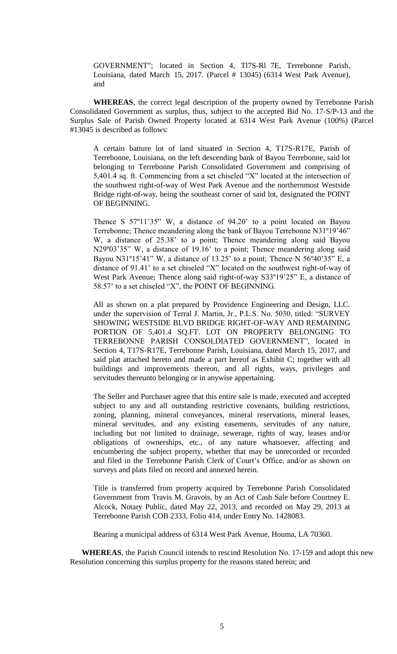GOVERNMENT"; located in Section 4, Tl7S-Rl 7E, Terrebonne Parish, Louisiana, dated March 15, 2017. (Parcel # 13045) (6314 West Park Avenue), and

**WHEREAS**, the correct legal description of the property owned by Terrebonne Parish Consolidated Government as surplus, thus, subject to the accepted Bid No. 17-S/P-13 and the Surplus Sale of Parish Owned Property located at 6314 West Park Avenue (100%) (Parcel #13045 is described as follows:

A certain batture lot of land situated in Section 4, T17S-R17E, Parish of Terrebonne, Louisiana, on the left descending bank of Bayou Terrebonne, said lot belonging to Terrebonne Parish Consolidated Government and comprising of 5,401.4 sq. ft. Commencing from a set chiseled "X" located at the intersection of the southwest right-of-way of West Park Avenue and the northernmost Westside Bridge right-of-way, being the southeast corner of said lot, designated the POINT OF BEGINNING.

Thence S 57º11'35" W, a distance of 94.20' to a point located on Bayou Terrebonne; Thence meandering along the bank of Bayou Terrebonne N31º19'46" W, a distance of 25.38' to a point; Thence meandering along said Bayou N29°03'35" W, a distance of 19.16' to a point; Thence meandering along said Bayou N31°15'41" W, a distance of 13.25' to a point; Thence N 56°40'35" E, a distance of 91.41' to a set chiseled "X" located on the southwest right-of-way of West Park Avenue; Thence along said right-of-way S33º19'25" E, a distance of 58.57' to a set chiseled "X", the POINT OF BEGINNING.

All as shown on a plat prepared by Providence Engineering and Design, LLC. under the supervision of Terral J. Martin, Jr., P.L.S. No. 5030, titled: "SURVEY SHOWING WESTSIDE BLVD BRIDGE RIGHT-OF-WAY AND REMAINING PORTION OF 5,401.4 SQ.FT. LOT ON PROPERTY BELONGING TO TERREBONNE PARISH CONSOLDIATED GOVERNMENT", located in Section 4, T17S-R17E, Terrebonne Parish, Louisiana, dated March 15, 2017, and said plat attached hereto and made a part hereof as Exhibit C; together with all buildings and improvements thereon, and all rights, ways, privileges and servitudes thereunto belonging or in anywise appertaining.

The Seller and Purchaser agree that this entire sale is made, executed and accepted subject to any and all outstanding restrictive covenants, building restrictions, zoning, planning, mineral conveyances, mineral reservations, mineral leases, mineral servitudes, and any existing easements, servitudes of any nature, including but not limited to drainage, sewerage, rights of way, leases and/or obligations of ownerships, etc., of any nature whatsoever, affecting and encumbering the subject property, whether that may be unrecorded or recorded and filed in the Terrebonne Parish Clerk of Court's Office, and/or as shown on surveys and plats filed on record and annexed herein.

Title is transferred from property acquired by Terrebonne Parish Consolidated Government from Travis M. Gravois, by an Act of Cash Sale before Courtney E. Alcock, Notary Public, dated May 22, 2013, and recorded on May 29, 2013 at Terrebonne Parish COB 2333, Folio 414, under Entry No. 1428083.

Bearing a municipal address of 6314 West Park Avenue, Houma, LA 70360.

**WHEREAS**, the Parish Council intends to rescind Resolution No. 17-159 and adopt this new Resolution concerning this surplus property for the reasons stated herein; and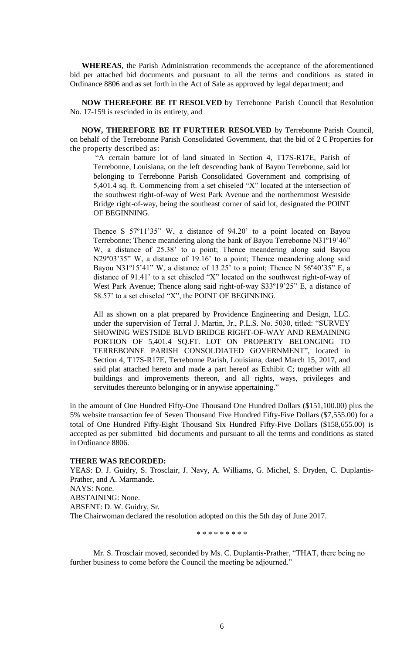**WHEREAS**, the Parish Administration recommends the acceptance of the aforementioned bid per attached bid documents and pursuant to all the terms and conditions as stated in Ordinance 8806 and as set forth in the Act of Sale as approved by legal department; and

**NOW THEREFORE BE IT RESOLVED** by Terrebonne Parish Council that Resolution No. 17-159 is rescinded in its entirety, and

**NOW, THEREFORE BE IT FURTHER RESOLVED** by Terrebonne Parish Council, on behalf of the Terrebonne Parish Consolidated Government, that the bid of 2 C Properties for the property described as:

"A certain batture lot of land situated in Section 4, T17S-R17E, Parish of Terrebonne, Louisiana, on the left descending bank of Bayou Terrebonne, said lot belonging to Terrebonne Parish Consolidated Government and comprising of 5,401.4 sq. ft. Commencing from a set chiseled "X" located at the intersection of the southwest right-of-way of West Park Avenue and the northernmost Westside Bridge right-of-way, being the southeast corner of said lot, designated the POINT OF BEGINNING.

Thence S 57º11'35" W, a distance of 94.20' to a point located on Bayou Terrebonne; Thence meandering along the bank of Bayou Terrebonne N31º19'46" W, a distance of 25.38' to a point; Thence meandering along said Bayou N29°03'35" W, a distance of 19.16' to a point; Thence meandering along said Bayou N31<sup>o</sup>15'41" W, a distance of 13.25' to a point; Thence N 56 $\degree$ 40'35" E, a distance of 91.41' to a set chiseled "X" located on the southwest right-of-way of West Park Avenue; Thence along said right-of-way S33º19'25" E, a distance of 58.57' to a set chiseled "X", the POINT OF BEGINNING.

All as shown on a plat prepared by Providence Engineering and Design, LLC. under the supervision of Terral J. Martin, Jr., P.L.S. No. 5030, titled: "SURVEY SHOWING WESTSIDE BLVD BRIDGE RIGHT-OF-WAY AND REMAINING PORTION OF 5,401.4 SQ.FT. LOT ON PROPERTY BELONGING TO TERREBONNE PARISH CONSOLDIATED GOVERNMENT", located in Section 4, T17S-R17E, Terrebonne Parish, Louisiana, dated March 15, 2017, and said plat attached hereto and made a part hereof as Exhibit C; together with all buildings and improvements thereon, and all rights, ways, privileges and servitudes thereunto belonging or in anywise appertaining.'

in the amount of One Hundred Fifty-One Thousand One Hundred Dollars (\$151,100.00) plus the 5% website transaction fee of Seven Thousand Five Hundred Fifty-Five Dollars (\$7,555.00) for a total of One Hundred Fifty-Eight Thousand Six Hundred Fifty-Five Dollars (\$158,655.00) is accepted as per submitted bid documents and pursuant to all the terms and conditions as stated in Ordinance 8806.

# **THERE WAS RECORDED:**

YEAS: D. J. Guidry, S. Trosclair, J. Navy, A. Williams, G. Michel, S. Dryden, C. Duplantis-Prather, and A. Marmande. NAYS: None. ABSTAINING: None. ABSENT: D. W. Guidry, Sr. The Chairwoman declared the resolution adopted on this the 5th day of June 2017.

\* \* \* \* \* \* \* \* \*

Mr. S. Trosclair moved, seconded by Ms. C. Duplantis-Prather, "THAT, there being no further business to come before the Council the meeting be adjourned."